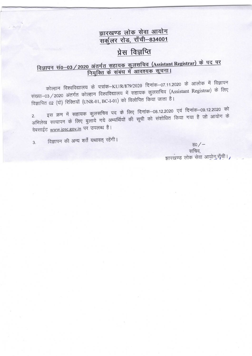## झारखण्ड लोक सेवा आयोग सर्कूलर रोड, राँची-834001

## प्रेस विज्ञप्ति

## विज्ञापन सं0-03/2020 अंतर्गत सहायक कुलसचिव (Assistant Registrar) के पद पर नियुक्ति के संबंध में आवश्यक सूचना।

कोल्हान विश्वविद्यालय के पत्रांक–KU/R/879/2020 दिनांक–07.11.2020 के आलोक में विज्ञापन संख्या-03 / 2020 अंतर्गत कोल्हान विश्वविद्यालय में सहायक कुलसचिव (Assistant Registrar) के लिए विज्ञापित 02 (दो) रिक्तियों (UNR-01, BC-I-01) को विलोपित किया जाता है।

इस क्रम में सहायक कुलसचिव पद के लिए दिनांक–08.12.2020 एवं दिनांक–09.12.2020 को अभिलेख सत्यापन के लिए बुलाये गये अभ्यर्थियों की सूची को संशोधित किया गया है जो आयोग के वेबसाईट www.jpsc.gov.in पर उपलब्ध है।

विज्ञापन की अन्य शर्तें यथावत् रहेंगी।  $\overline{3}$ .

ਵ $0$  /  $-$ सचिव, झारखण्ड लोक सेवा आयोग,राँची।